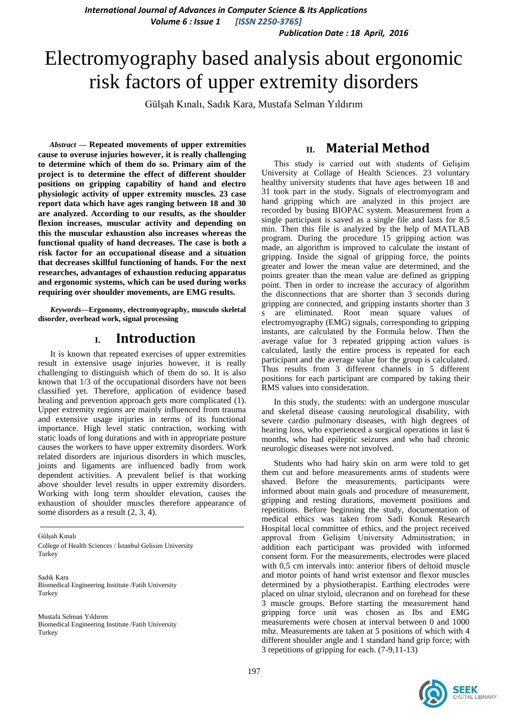*International Journal of Advances in Computer Science & Its Applications Volume 6 : Issue 1 [ISSN 2250-3765]*

*Publication Date : 18 April, 2016*

# Electromyography based analysis about ergonomic risk factors of upper extremity disorders

Gülşah Kınalı, Sadık Kara, Mustafa Selman Yıldırım

*Abstract* **— Repeated movements of upper extremities cause to overuse injuries however, it is really challenging to determine which of them do so. Primary aim of the project is to determine the effect of different shoulder positions on gripping capability of hand and electro physiologic activity of upper extremity muscles. 23 case report data which have ages ranging between 18 and 30 are analyzed. According to our results, as the shoulder flexion increases, muscular activity and depending on this the muscular exhaustion also increases whereas the functional quality of hand decreases. The case is both a risk factor for an occupational disease and a situation that decreases skillful functioning of hands. For the next researches, advantages of exhaustion reducing apparatus and ergonomic systems, which can be used during works requiring over shoulder movements, are EMG results.**

*Keywords—***Ergonomy, electromyography, musculo skeletal disorder, overhead work, signal processing**

#### **I. Introduction**

It is known that repeated exercises of upper extremities result in extensive usage injuries however, it is really challenging to distinguish which of them do so. It is also known that 1/3 of the occupational disorders have not been classified yet. Therefore, application of evidence based healing and prevention approach gets more complicated (1). Upper extremity regions are mainly influenced from trauma and extensive usage injuries in terms of its functional importance. High level static contraction, working with static loads of long durations and with in appropriate posture causes the workers to have upper extremity disorders. Work related disorders are injurious disorders in which muscles, joints and ligaments are influenced badly from work dependent activities. A prevalent belief is that working above shoulder level results in upper extremity disorders. Working with long term shoulder elevation, causes the exhaustion of shoulder muscles therefore appearance of some disorders as a result (2, 3, 4).

Gülşah Kınalı College of Health Sciences / İstanbul Gelisim University Turkey

Sadık Kara Biomedical Engineering Institute /Fatih University Turkey

Mustafa Selman Yıldırım Biomedical Engineering Institute /Fatih University Turkey

## **II. Material Method**

This study is carried out with students of Gelişim University at Collage of Health Sciences. 23 voluntary healthy university students that have ages between 18 and 31 took part in the study. Signals of electromyogram and hand gripping which are analyzed in this project are recorded by busing BIOPAC system. Measurement from a single participant is saved as a single file and lasts for 8.5 min. Then this file is analyzed by the help of MATLAB program. During the procedure 15 gripping action was made, an algorithm is improved to calculate the instant of gripping. Inside the signal of gripping force, the points greater and lower the mean value are determined, and the points greater than the mean value are defined as gripping point. Then in order to increase the accuracy of algorithm the disconnections that are shorter than 3 seconds during gripping are connected, and gripping instants shorter than 3 s are eliminated. Root mean square values of electromyography (EMG) signals, corresponding to gripping instants, are calculated by the Formula below. Then the average value for 3 repeated gripping action values is calculated, lastly the entire process is repeated for each participant and the average value for the group is calculated. Thus results from 3 different channels in 5 different positions for each participant are compared by taking their RMS values into consideration.

In this study, the students: with an undergone muscular and skeletal disease causing neurological disability, with severe cardio pulmonary diseases, with high degrees of hearing loss, who experienced a surgical operations in last 6 months, who had epileptic seizures and who had chronic neurologic diseases were not involved.

Students who had hairy skin on arm were told to get them cut and before measurements arms of students were shaved. Before the measurements, participants were informed about main goals and procedure of measurement, gripping and resting durations, movement positions and repetitions. Before beginning the study, documentation of medical ethics was taken from Sadi Konuk Research Hospital local committee of ethics, and the project received approval from Gelişim University Administration; in addition each participant was provided with informed consent form. For the measurements, electrodes were placed with 0,5 cm intervals into: anterior fibers of deltoid muscle and motor points of hand wrist extensor and flexor muscles determined by a physiotherapist. Earthing electrodes were placed on ulnar styloid, olecranon and on forehead for these 3 muscle groups. Before starting the measurement hand gripping force unit was chosen as Ibs and EMG measurements were chosen at interval between 0 and 1000 mhz. Measurements are taken at 5 positions of which with 4 different shoulder angle and 1 standard hand grip force; with 3 repetitions of gripping for each. (7-9,11-13)

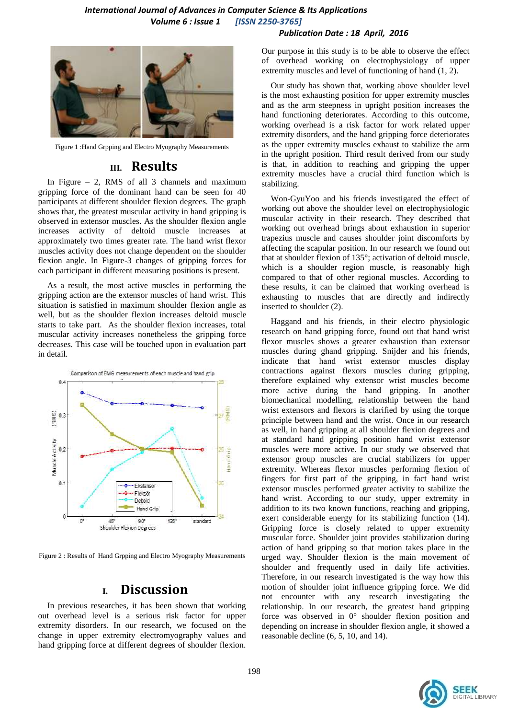#### *International Journal of Advances in Computer Science & Its Applications Volume 6 : Issue 1 [ISSN 2250-3765]*





Figure 1 :Hand Grpping and Electro Myography Measurements

#### **III. Results**

In Figure  $-2$ , RMS of all 3 channels and maximum gripping force of the dominant hand can be seen for 40 participants at different shoulder flexion degrees. The graph shows that, the greatest muscular activity in hand gripping is observed in extensor muscles. As the shoulder flexion angle increases activity of deltoid muscle increases at approximately two times greater rate. The hand wrist flexor muscles activity does not change dependent on the shoulder flexion angle. In Figure-3 changes of gripping forces for each participant in different measuring positions is present.

As a result, the most active muscles in performing the gripping action are the extensor muscles of hand wrist. This situation is satisfied in maximum shoulder flexion angle as well, but as the shoulder flexion increases deltoid muscle starts to take part. As the shoulder flexion increases, total muscular activity increases nonetheless the gripping force decreases. This case will be touched upon in evaluation part in detail.



Figure 2 : Results of Hand Grpping and Electro Myography Measurements

### **I. Discussion**

In previous researches, it has been shown that working out overhead level is a serious risk factor for upper extremity disorders. In our research, we focused on the change in upper extremity electromyography values and hand gripping force at different degrees of shoulder flexion.

Our purpose in this study is to be able to observe the effect of overhead working on electrophysiology of upper extremity muscles and level of functioning of hand (1, 2).

Our study has shown that, working above shoulder level is the most exhausting position for upper extremity muscles and as the arm steepness in upright position increases the hand functioning deteriorates. According to this outcome, working overhead is a risk factor for work related upper extremity disorders, and the hand gripping force deteriorates as the upper extremity muscles exhaust to stabilize the arm in the upright position. Third result derived from our study is that, in addition to reaching and gripping the upper extremity muscles have a crucial third function which is stabilizing.

Won-GyuYoo and his friends investigated the effect of working out above the shoulder level on electrophysiologic muscular activity in their research. They described that working out overhead brings about exhaustion in superior trapezius muscle and causes shoulder joint discomforts by affecting the scapular position. In our research we found out that at shoulder flexion of 135°; activation of deltoid muscle, which is a shoulder region muscle, is reasonably high compared to that of other regional muscles. According to these results, it can be claimed that working overhead is exhausting to muscles that are directly and indirectly inserted to shoulder (2).

Haggand and his friends, in their electro physiologic research on hand gripping force, found out that hand wrist flexor muscles shows a greater exhaustion than extensor muscles during ghand gripping. Snijder and his friends, indicate that hand wrist extensor muscles display contractions against flexors muscles during gripping, therefore explained why extensor wrist muscles become more active during the hand gripping. In another biomechanical modelling, relationship between the hand wrist extensors and flexors is clarified by using the torque principle between hand and the wrist. Once in our research as well, in hand gripping at all shoulder flexion degrees and at standard hand gripping position hand wrist extensor muscles were more active. In our study we observed that extensor group muscles are crucial stabilizers for upper extremity. Whereas flexor muscles performing flexion of fingers for first part of the gripping, in fact hand wrist extensor muscles performed greater activity to stabilize the hand wrist. According to our study, upper extremity in addition to its two known functions, reaching and gripping, exert considerable energy for its stabilizing function (14). Gripping force is closely related to upper extremity muscular force. Shoulder joint provides stabilization during action of hand gripping so that motion takes place in the urged way. Shoulder flexion is the main movement of shoulder and frequently used in daily life activities. Therefore, in our research investigated is the way how this motion of shoulder joint influence gripping force. We did not encounter with any research investigating the relationship. In our research, the greatest hand gripping force was observed in 0° shoulder flexion position and depending on increase in shoulder flexion angle, it showed a reasonable decline (6, 5, 10, and 14).